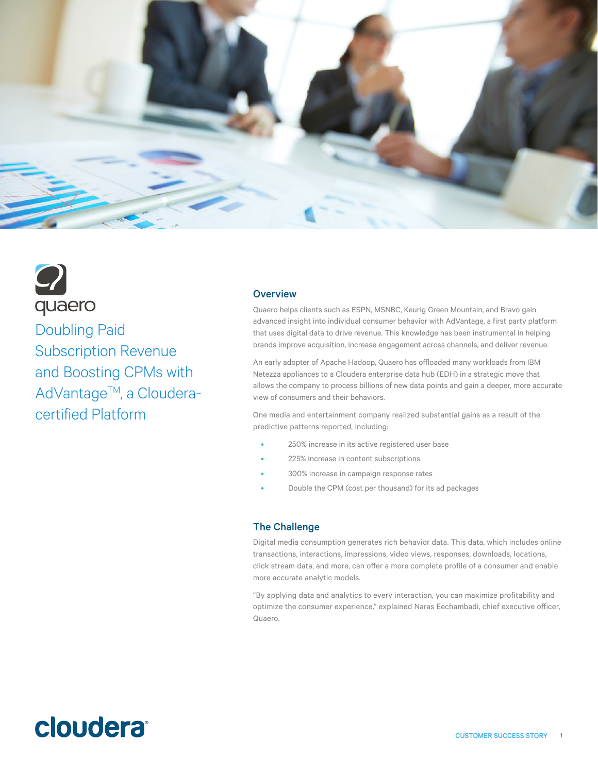

## 9 quaero Doubling Paid Subscription Revenue and Boosting CPMs with AdVantage<sup>™</sup>, a Clouderacertified Platform

#### **Overview**

Quaero helps clients such as ESPN, MSNBC, Keurig Green Mountain, and Bravo gain advanced insight into individual consumer behavior with AdVantage, a first party platform that uses digital data to drive revenue. This knowledge has been instrumental in helping brands improve acquisition, increase engagement across channels, and deliver revenue.

An early adopter of Apache Hadoop, Quaero has offloaded many workloads from IBM Netezza appliances to a Cloudera enterprise data hub (EDH) in a strategic move that allows the company to process billions of new data points and gain a deeper, more accurate view of consumers and their behaviors.

One media and entertainment company realized substantial gains as a result of the predictive patterns reported, including:

- 250% increase in its active registered user base
- 225% increase in content subscriptions
- 300% increase in campaign response rates
- Double the CPM (cost per thousand) for its ad packages

### The Challenge

Digital media consumption generates rich behavior data. This data, which includes online transactions, interactions, impressions, video views, responses, downloads, locations, click stream data, and more, can offer a more complete profile of a consumer and enable more accurate analytic models.

"By applying data and analytics to every interaction, you can maximize profitability and optimize the consumer experience," explained Naras Eechambadi, chief executive officer, Quaero.

# cloudera<sup>®</sup>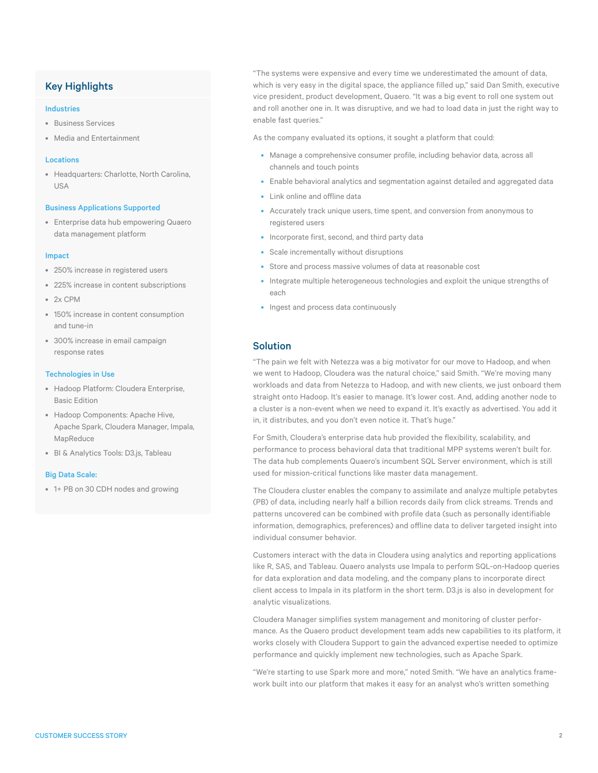## Key Highlights

#### Industries

- Business Services
- Media and Entertainment

#### Locations

• Headquarters: Charlotte, North Carolina,  $IISA$ 

#### Business Applications Supported

• Enterprise data hub empowering Quaero data management platform

#### Impact

- 250% increase in registered users
- 225% increase in content subscriptions
- 2x CPM
- 150% increase in content consumption and tune-in
- 300% increase in email campaign response rates

#### Technologies in Use

- Hadoop Platform: Cloudera Enterprise, Basic Edition
- Hadoop Components: Apache Hive, Apache Spark, Cloudera Manager, Impala, MapReduce
- BI & Analytics Tools: D3.js, Tableau

#### Big Data Scale:

• 1+ PB on 30 CDH nodes and growing

"The systems were expensive and every time we underestimated the amount of data, which is very easy in the digital space, the appliance filled up," said Dan Smith, executive vice president, product development, Quaero. "It was a big event to roll one system out and roll another one in. It was disruptive, and we had to load data in just the right way to enable fast queries."

As the company evaluated its options, it sought a platform that could:

- Manage a comprehensive consumer profile, including behavior data, across all channels and touch points
- Enable behavioral analytics and segmentation against detailed and aggregated data
- Link online and offline data
- Accurately track unique users, time spent, and conversion from anonymous to registered users
- Incorporate first, second, and third party data
- Scale incrementally without disruptions
- Store and process massive volumes of data at reasonable cost
- Integrate multiple heterogeneous technologies and exploit the unique strengths of each
- Ingest and process data continuously

### Solution

"The pain we felt with Netezza was a big motivator for our move to Hadoop, and when we went to Hadoop, Cloudera was the natural choice," said Smith. "We're moving many workloads and data from Netezza to Hadoop, and with new clients, we just onboard them straight onto Hadoop. It's easier to manage. It's lower cost. And, adding another node to a cluster is a non-event when we need to expand it. It's exactly as advertised. You add it in, it distributes, and you don't even notice it. That's huge."

For Smith, Cloudera's enterprise data hub provided the flexibility, scalability, and performance to process behavioral data that traditional MPP systems weren't built for. The data hub complements Quaero's incumbent SQL Server environment, which is still used for mission-critical functions like master data management.

The Cloudera cluster enables the company to assimilate and analyze multiple petabytes (PB) of data, including nearly half a billion records daily from click streams. Trends and patterns uncovered can be combined with profile data (such as personally identifiable information, demographics, preferences) and offline data to deliver targeted insight into individual consumer behavior.

Customers interact with the data in Cloudera using analytics and reporting applications like R, SAS, and Tableau. Quaero analysts use Impala to perform SQL-on-Hadoop queries for data exploration and data modeling, and the company plans to incorporate direct client access to Impala in its platform in the short term. D3.js is also in development for analytic visualizations.

Cloudera Manager simplifies system management and monitoring of cluster performance. As the Quaero product development team adds new capabilities to its platform, it works closely with Cloudera Support to gain the advanced expertise needed to optimize performance and quickly implement new technologies, such as Apache Spark.

"We're starting to use Spark more and more," noted Smith. "We have an analytics framework built into our platform that makes it easy for an analyst who's written something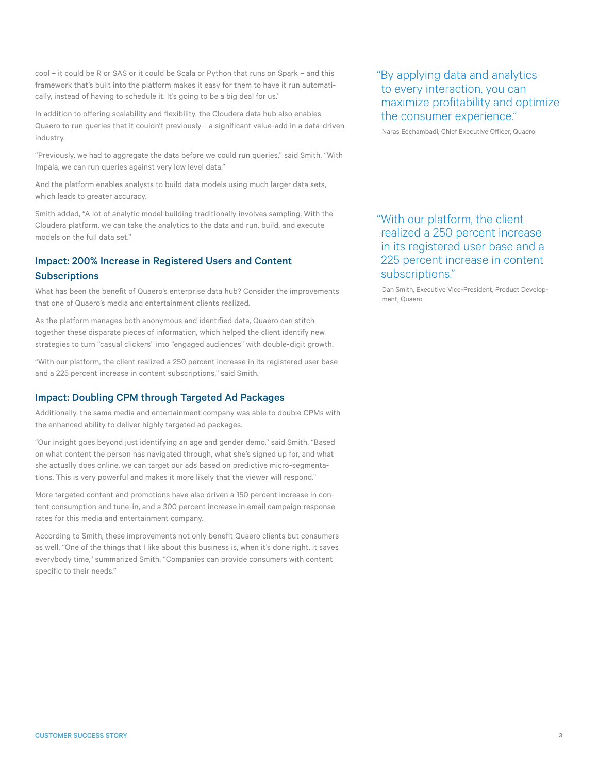cool – it could be R or SAS or it could be Scala or Python that runs on Spark – and this framework that's built into the platform makes it easy for them to have it run automatically, instead of having to schedule it. It's going to be a big deal for us."

In addition to offering scalability and flexibility, the Cloudera data hub also enables Quaero to run queries that it couldn't previously—a significant value-add in a data-driven industry.

"Previously, we had to aggregate the data before we could run queries," said Smith. "With Impala, we can run queries against very low level data."

And the platform enables analysts to build data models using much larger data sets, which leads to greater accuracy.

Smith added, "A lot of analytic model building traditionally involves sampling. With the Cloudera platform, we can take the analytics to the data and run, build, and execute models on the full data set."

## Impact: 200% Increase in Registered Users and Content **Subscriptions**

What has been the benefit of Quaero's enterprise data hub? Consider the improvements that one of Quaero's media and entertainment clients realized.

As the platform manages both anonymous and identified data, Quaero can stitch together these disparate pieces of information, which helped the client identify new strategies to turn "casual clickers" into "engaged audiences" with double-digit growth.

"With our platform, the client realized a 250 percent increase in its registered user base and a 225 percent increase in content subscriptions," said Smith.

## Impact: Doubling CPM through Targeted Ad Packages

Additionally, the same media and entertainment company was able to double CPMs with the enhanced ability to deliver highly targeted ad packages.

"Our insight goes beyond just identifying an age and gender demo," said Smith. "Based on what content the person has navigated through, what she's signed up for, and what she actually does online, we can target our ads based on predictive micro-segmentations. This is very powerful and makes it more likely that the viewer will respond."

More targeted content and promotions have also driven a 150 percent increase in content consumption and tune-in, and a 300 percent increase in email campaign response rates for this media and entertainment company.

According to Smith, these improvements not only benefit Quaero clients but consumers as well. "One of the things that I like about this business is, when it's done right, it saves everybody time," summarized Smith. "Companies can provide consumers with content specific to their needs."

## "By applying data and analytics to every interaction, you can maximize profitability and optimize the consumer experience."

Naras Eechambadi, Chief Executive Officer, Quaero

## "With our platform, the client realized a 250 percent increase in its registered user base and a 225 percent increase in content subscriptions."

Dan Smith, Executive Vice-President, Product Development, Quaero